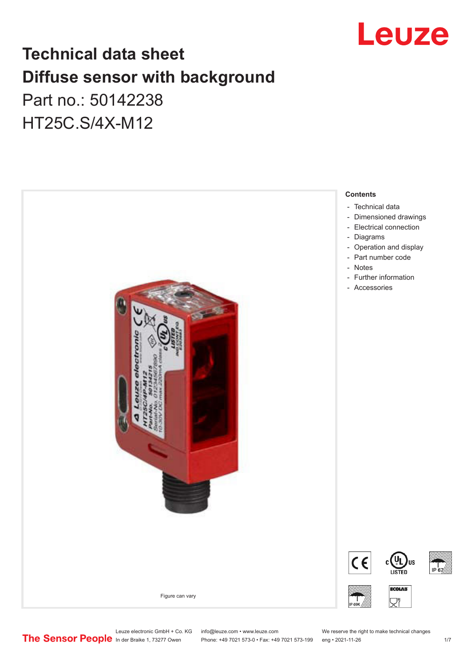

## **Technical data sheet Diffuse sensor with background**  Part no.: 50142238

HT25C.S/4X-M12



Leuze electronic GmbH + Co. KG info@leuze.com • www.leuze.com We reserve the right to make technical changes<br>
The Sensor People in der Braike 1, 73277 Owen Phone: +49 7021 573-0 • Fax: +49 7021 573-199 eng • 2021-11-26

Phone: +49 7021 573-0 • Fax: +49 7021 573-199 eng • 2021-11-26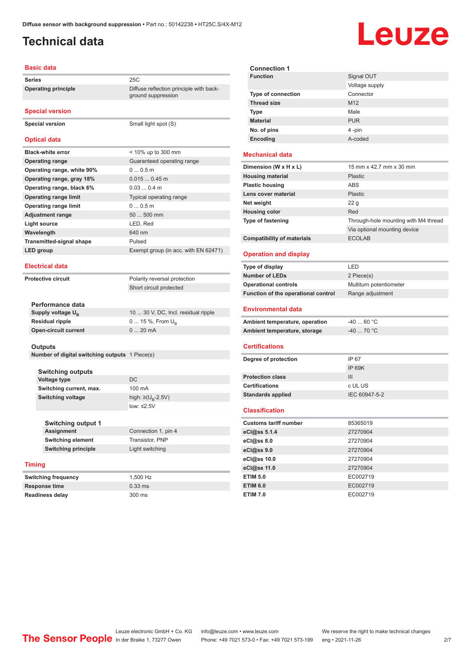## <span id="page-1-0"></span>**Technical data**

# Leuze

#### **Basic data**

| Series                          | 25C                                                           |  |
|---------------------------------|---------------------------------------------------------------|--|
| <b>Operating principle</b>      | Diffuse reflection principle with back-<br>ground suppression |  |
| <b>Special version</b>          |                                                               |  |
| <b>Special version</b>          | Small light spot (S)                                          |  |
| <b>Optical data</b>             |                                                               |  |
| <b>Black-white error</b>        | < 10% up to 300 mm                                            |  |
| <b>Operating range</b>          | Guaranteed operating range                                    |  |
| Operating range, white 90%      | 00.5m                                                         |  |
| Operating range, gray 18%       | $0.0150.45$ m                                                 |  |
| Operating range, black 6%       | $0.030.4$ m                                                   |  |
| <b>Operating range limit</b>    | Typical operating range                                       |  |
| <b>Operating range limit</b>    | 0.05m                                                         |  |
| <b>Adjustment range</b>         | 50  500 mm                                                    |  |
| <b>Light source</b>             | LED, Red                                                      |  |
| Wavelength<br>640 nm            |                                                               |  |
| <b>Transmitted-signal shape</b> | Pulsed                                                        |  |
| LED group                       | Exempt group (in acc. with EN 62471)                          |  |
| <b>Electrical data</b>          |                                                               |  |
| <b>Protective circuit</b>       | Polarity reversal protection                                  |  |
|                                 | Short circuit protected                                       |  |
| Performance data                |                                                               |  |
| Supply voltage U <sub>B</sub>   | 10  30 V, DC, Incl. residual ripple                           |  |
| <b>Residual ripple</b>          | $0 15 \%$ , From $U_{\rm B}$                                  |  |
| <b>Open-circuit current</b>     | 020mA                                                         |  |
|                                 |                                                               |  |

#### **Outputs**

**Number of digital switching outputs** 1 Piece(s)

**Switching outputs Voltage type** DC **Switching current, max.** 100 mA **Switching voltage** 

high:  $\geq (U_B - 2.5V)$ low: ≤2.5V

| <b>Switching output 1</b>  |                     |
|----------------------------|---------------------|
| <b>Assignment</b>          | Connection 1, pin 4 |
| <b>Switching element</b>   | Transistor, PNP     |
| <b>Switching principle</b> | Light switching     |
|                            |                     |

### **Timing**

**Switching frequency** 1,500 Hz **Response time** 0.33 ms **Readiness delay** 300 ms

| <b>Connection 1</b>       |                 |  |
|---------------------------|-----------------|--|
| <b>Function</b>           | Signal OUT      |  |
|                           | Voltage supply  |  |
| <b>Type of connection</b> | Connector       |  |
| <b>Thread size</b>        | M <sub>12</sub> |  |
| <b>Type</b>               | Male            |  |
| <b>Material</b>           | <b>PUR</b>      |  |
| No. of pins               | 4-pin           |  |
| Encoding                  | A-coded         |  |

### **Mechanical data**

| 15 mm x 42.7 mm x 30 mm              |
|--------------------------------------|
| Plastic                              |
| ABS                                  |
| Plastic                              |
| 22 <sub>g</sub>                      |
| Red                                  |
| Through-hole mounting with M4 thread |
| Via optional mounting device         |
| <b>ECOLAB</b>                        |
|                                      |

### **Operation and display**

| Type of display                     | I FD                    |
|-------------------------------------|-------------------------|
| <b>Number of LEDs</b>               | 2 Piece(s)              |
| <b>Operational controls</b>         | Multiturn potentiometer |
| Function of the operational control | Range adjustment        |
| <b>Environmental data</b>           |                         |

| Ambient temperature, operation | -40  60 °C |
|--------------------------------|------------|
| Ambient temperature, storage   | -40  70 °C |

#### **Certifications**

| Degree of protection     | IP 67         |
|--------------------------|---------------|
|                          | IP 69K        |
| <b>Protection class</b>  | Ш             |
| <b>Certifications</b>    | c UL US       |
| <b>Standards applied</b> | IEC 60947-5-2 |
|                          |               |

#### **Classification**

| <b>Customs tariff number</b> | 85365019 |
|------------------------------|----------|
| eCl@ss 5.1.4                 | 27270904 |
| eCl@ss 8.0                   | 27270904 |
| eCl@ss 9.0                   | 27270904 |
| eCl@ss 10.0                  | 27270904 |
| eCl@ss 11.0                  | 27270904 |
| <b>ETIM 5.0</b>              | EC002719 |
| <b>ETIM 6.0</b>              | EC002719 |
| <b>ETIM 7.0</b>              | EC002719 |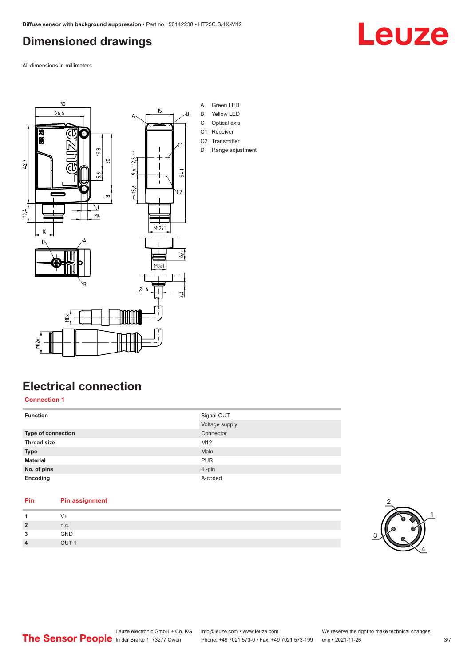### <span id="page-2-0"></span>**Dimensioned drawings**

All dimensions in millimeters



## **Electrical connection**

**Connection 1**

| <b>Function</b>    | Signal OUT     |
|--------------------|----------------|
|                    | Voltage supply |
| Type of connection | Connector      |
| <b>Thread size</b> | M12            |
| <b>Type</b>        | Male           |
| <b>Material</b>    | <b>PUR</b>     |
| No. of pins        | 4-pin          |
| Encoding           | A-coded        |
|                    |                |

### **Pin Pin assignment 1**  $V^+$ <br>**2**  $n.c$ **2** n.c.

| -3 | <b>GND</b>       |
|----|------------------|
|    | OUT <sub>1</sub> |

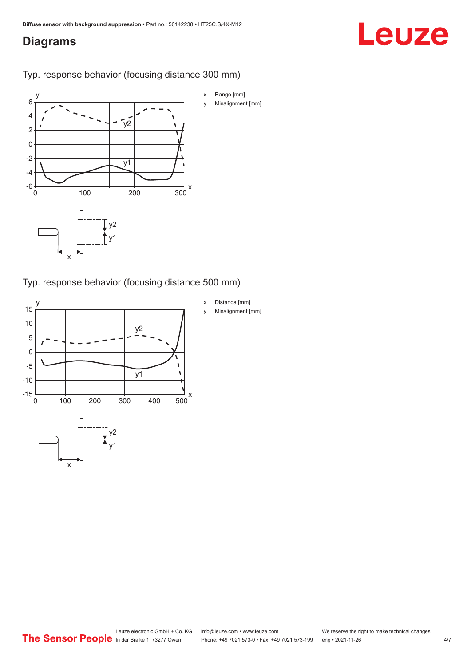### <span id="page-3-0"></span>**Diagrams**

## Leuze

Typ. response behavior (focusing distance 300 mm)



Typ. response behavior (focusing distance 500 mm)

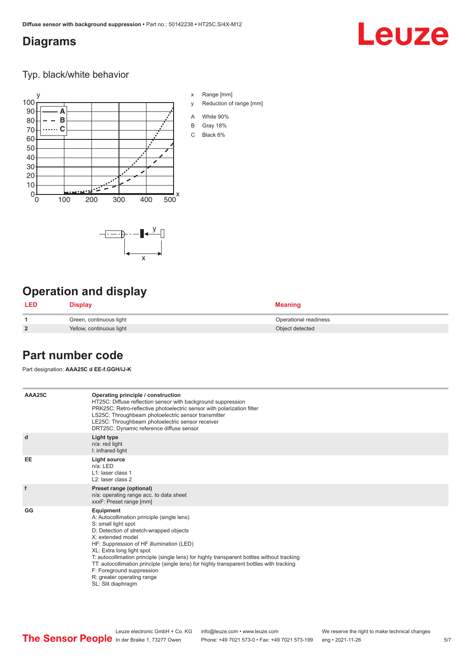### <span id="page-4-0"></span>**Diagrams**

## Leuze

Typ. black/white behavior



x

 $-\overline{...}$   $-\overline{...}$   $-\overline{...}$ 

x Range [mm]

- y Reduction of range [mm]
- A White 90%
- B Gray 18%
- C Black 6%



| LED            | <b>Display</b>           | <b>Meaning</b>        |
|----------------|--------------------------|-----------------------|
|                | Green, continuous light  | Operational readiness |
| $\overline{2}$ | Yellow, continuous light | Object detected       |

### **Part number code**

Part designation: **AAA25C d EE-f.GGH/iJ-K**

| AAA25C | Operating principle / construction<br>HT25C: Diffuse reflection sensor with background suppression<br>PRK25C: Retro-reflective photoelectric sensor with polarization filter<br>LS25C: Throughbeam photoelectric sensor transmitter<br>LE25C: Throughbeam photoelectric sensor receiver<br>DRT25C: Dynamic reference diffuse sensor                                                                                                                                                                |
|--------|----------------------------------------------------------------------------------------------------------------------------------------------------------------------------------------------------------------------------------------------------------------------------------------------------------------------------------------------------------------------------------------------------------------------------------------------------------------------------------------------------|
| d      | Light type<br>n/a: red light<br>I: infrared light                                                                                                                                                                                                                                                                                                                                                                                                                                                  |
| EE     | <b>Light source</b><br>$n/a$ : LED<br>L1: laser class 1<br>L2: laser class 2                                                                                                                                                                                                                                                                                                                                                                                                                       |
| f      | Preset range (optional)<br>n/a: operating range acc. to data sheet<br>xxxF: Preset range [mm]                                                                                                                                                                                                                                                                                                                                                                                                      |
| GG     | Equipment<br>A: Autocollimation principle (single lens)<br>S: small light spot<br>D: Detection of stretch-wrapped objects<br>X: extended model<br>HF: Suppression of HF illumination (LED)<br>XL: Extra long light spot<br>T: autocollimation principle (single lens) for highly transparent bottles without tracking<br>TT: autocollimation principle (single lens) for highly transparent bottles with tracking<br>F: Foreground suppression<br>R: greater operating range<br>SL: Slit diaphragm |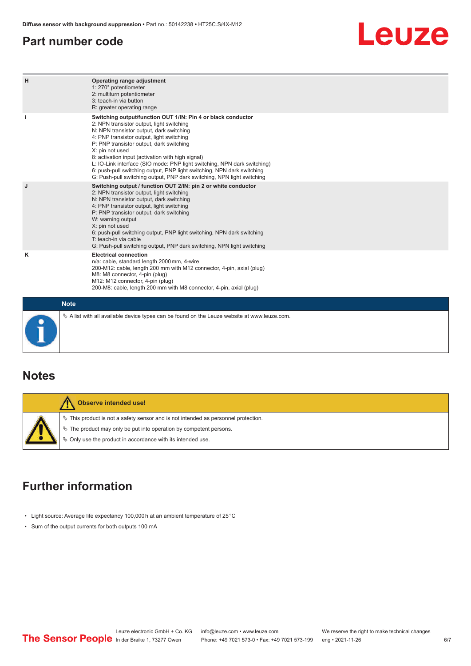### <span id="page-5-0"></span>**Part number code**

## Leuze

| H | Operating range adjustment<br>1: 270° potentiometer<br>2: multiturn potentiometer<br>3: teach-in via button<br>R: greater operating range                                                                                                                                                                                                                                                                                                                                                                                                              |  |  |  |  |  |
|---|--------------------------------------------------------------------------------------------------------------------------------------------------------------------------------------------------------------------------------------------------------------------------------------------------------------------------------------------------------------------------------------------------------------------------------------------------------------------------------------------------------------------------------------------------------|--|--|--|--|--|
|   | Switching output/function OUT 1/IN: Pin 4 or black conductor<br>2: NPN transistor output, light switching<br>N: NPN transistor output, dark switching<br>4: PNP transistor output, light switching<br>P: PNP transistor output, dark switching<br>X: pin not used<br>8: activation input (activation with high signal)<br>L: IO-Link interface (SIO mode: PNP light switching, NPN dark switching)<br>6: push-pull switching output, PNP light switching, NPN dark switching<br>G: Push-pull switching output, PNP dark switching, NPN light switching |  |  |  |  |  |
| J | Switching output / function OUT 2/IN: pin 2 or white conductor<br>2: NPN transistor output, light switching<br>N: NPN transistor output, dark switching<br>4: PNP transistor output, light switching<br>P: PNP transistor output, dark switching<br>W: warning output<br>X: pin not used<br>6: push-pull switching output, PNP light switching, NPN dark switching<br>T: teach-in via cable<br>G: Push-pull switching output, PNP dark switching, NPN light switching                                                                                  |  |  |  |  |  |
| ĸ | <b>Electrical connection</b><br>n/a: cable, standard length 2000 mm, 4-wire<br>200-M12: cable, length 200 mm with M12 connector, 4-pin, axial (plug)<br>M8: M8 connector, 4-pin (plug)<br>M12: M12 connector, 4-pin (plug)<br>200-M8: cable, length 200 mm with M8 connector, 4-pin, axial (plug)                                                                                                                                                                                                                                                      |  |  |  |  |  |
|   | <b>Note</b>                                                                                                                                                                                                                                                                                                                                                                                                                                                                                                                                            |  |  |  |  |  |
|   | $\&$ A list with all available device types can be found on the Leuze website at www.leuze.com.                                                                                                                                                                                                                                                                                                                                                                                                                                                        |  |  |  |  |  |

### **Notes**

| Observe intended use!                                                                                                                                                                                                            |
|----------------------------------------------------------------------------------------------------------------------------------------------------------------------------------------------------------------------------------|
| $\%$ This product is not a safety sensor and is not intended as personnel protection.<br>$\&$ The product may only be put into operation by competent persons.<br>$\&$ Only use the product in accordance with its intended use. |

### **Further information**

- Light source: Average life expectancy 100,000 h at an ambient temperature of 25 °C
- Sum of the output currents for both outputs 100 mA